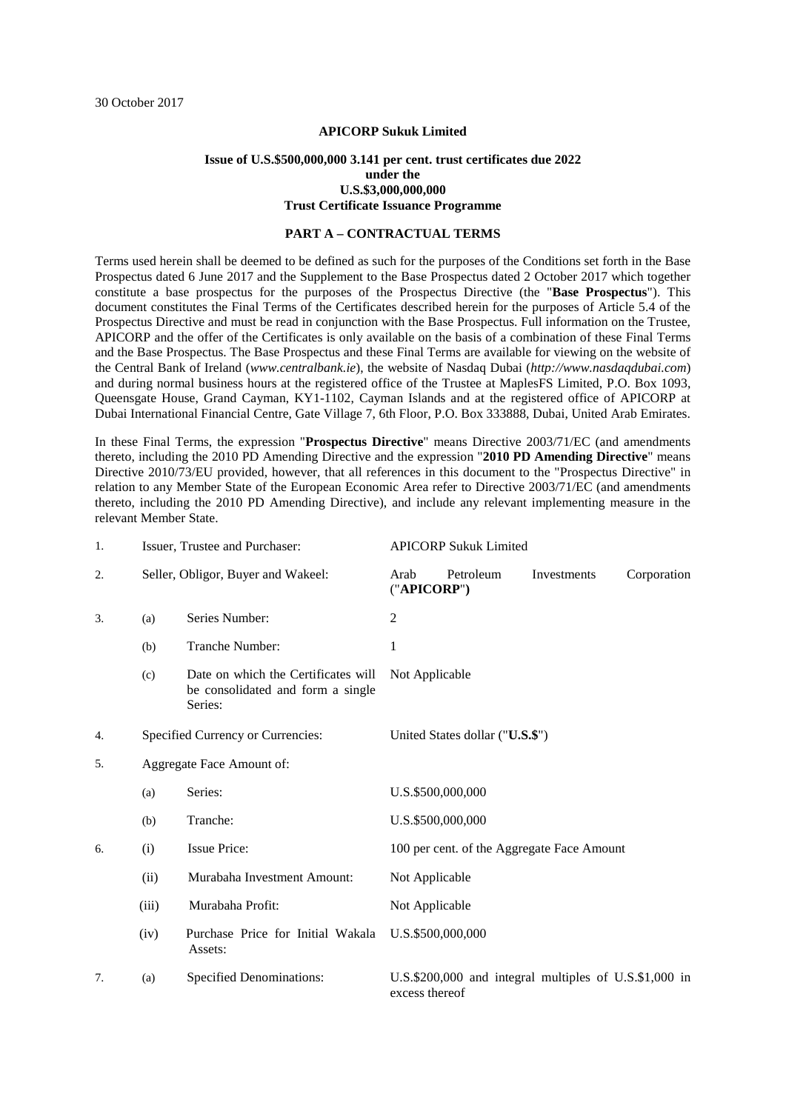#### **APICORP Sukuk Limited**

#### **Issue of U.S.\$500,000,000 3.141 per cent. trust certificates due 2022 under the U.S.\$3,000,000,000 Trust Certificate Issuance Programme**

#### **PART A – CONTRACTUAL TERMS**

Terms used herein shall be deemed to be defined as such for the purposes of the Conditions set forth in the Base Prospectus dated 6 June 2017 and the Supplement to the Base Prospectus dated 2 October 2017 which together constitute a base prospectus for the purposes of the Prospectus Directive (the "**Base Prospectus**"). This document constitutes the Final Terms of the Certificates described herein for the purposes of Article 5.4 of the Prospectus Directive and must be read in conjunction with the Base Prospectus. Full information on the Trustee, APICORP and the offer of the Certificates is only available on the basis of a combination of these Final Terms and the Base Prospectus. The Base Prospectus and these Final Terms are available for viewing on the website of the Central Bank of Ireland (*www.centralbank.ie*), the website of Nasdaq Dubai (*http://www.nasdaqdubai.com*) and during normal business hours at the registered office of the Trustee at MaplesFS Limited, P.O. Box 1093, Queensgate House, Grand Cayman, KY1-1102, Cayman Islands and at the registered office of APICORP at Dubai International Financial Centre, Gate Village 7, 6th Floor, P.O. Box 333888, Dubai, United Arab Emirates.

In these Final Terms, the expression "**Prospectus Directive**" means Directive 2003/71/EC (and amendments thereto, including the 2010 PD Amending Directive and the expression "**2010 PD Amending Directive**" means Directive 2010/73/EU provided, however, that all references in this document to the "Prospectus Directive" in relation to any Member State of the European Economic Area refer to Directive 2003/71/EC (and amendments thereto, including the 2010 PD Amending Directive), and include any relevant implementing measure in the relevant Member State.

| 1. |                                                                      | Issuer, Trustee and Purchaser:                                                      |                     | <b>APICORP Sukuk Limited</b> |                                                        |             |
|----|----------------------------------------------------------------------|-------------------------------------------------------------------------------------|---------------------|------------------------------|--------------------------------------------------------|-------------|
| 2. |                                                                      | Seller, Obligor, Buyer and Wakeel:                                                  | Arab<br>("APICORP") | Petroleum                    | Investments                                            | Corporation |
| 3. | (a)                                                                  | Series Number:                                                                      | $\overline{c}$      |                              |                                                        |             |
|    | (b)                                                                  | Tranche Number:                                                                     | 1                   |                              |                                                        |             |
|    | (c)                                                                  | Date on which the Certificates will<br>be consolidated and form a single<br>Series: | Not Applicable      |                              |                                                        |             |
| 4. | Specified Currency or Currencies:<br>United States dollar ("U.S.\$") |                                                                                     |                     |                              |                                                        |             |
| 5. | Aggregate Face Amount of:                                            |                                                                                     |                     |                              |                                                        |             |
|    | (a)                                                                  | Series:                                                                             |                     | U.S.\$500,000,000            |                                                        |             |
|    | (b)                                                                  | Tranche:                                                                            |                     | U.S.\$500,000,000            |                                                        |             |
| 6. | (i)                                                                  | <b>Issue Price:</b>                                                                 |                     |                              | 100 per cent. of the Aggregate Face Amount             |             |
|    | (ii)                                                                 | Murabaha Investment Amount:                                                         | Not Applicable      |                              |                                                        |             |
|    | (iii)                                                                | Murabaha Profit:                                                                    | Not Applicable      |                              |                                                        |             |
|    | (iv)                                                                 | Purchase Price for Initial Wakala<br>Assets:                                        |                     | U.S.\$500,000,000            |                                                        |             |
| 7. | (a)                                                                  | <b>Specified Denominations:</b>                                                     | excess thereof      |                              | U.S.\$200,000 and integral multiples of U.S.\$1,000 in |             |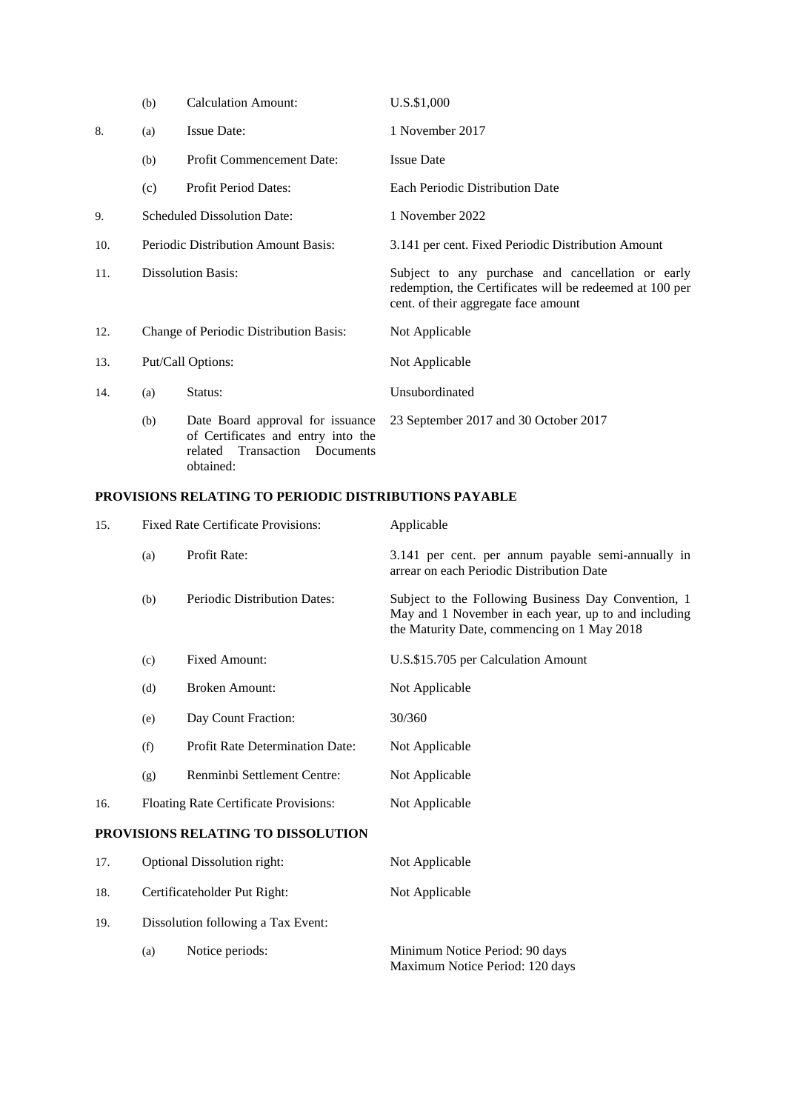|     | (b)                                        | <b>Calculation Amount:</b>                                                                              | U.S.\$1,000                                                                                                                                           |  |  |
|-----|--------------------------------------------|---------------------------------------------------------------------------------------------------------|-------------------------------------------------------------------------------------------------------------------------------------------------------|--|--|
| 8.  | (a)                                        | <b>Issue Date:</b>                                                                                      | 1 November 2017                                                                                                                                       |  |  |
|     | (b)                                        | Profit Commencement Date:                                                                               | <b>Issue Date</b>                                                                                                                                     |  |  |
|     | (c)                                        | Profit Period Dates:                                                                                    | <b>Each Periodic Distribution Date</b>                                                                                                                |  |  |
| 9.  | <b>Scheduled Dissolution Date:</b>         |                                                                                                         | 1 November 2022                                                                                                                                       |  |  |
| 10. | <b>Periodic Distribution Amount Basis:</b> |                                                                                                         | 3.141 per cent. Fixed Periodic Distribution Amount                                                                                                    |  |  |
| 11. |                                            | <b>Dissolution Basis:</b>                                                                               | Subject to any purchase and cancellation or early<br>redemption, the Certificates will be redeemed at 100 per<br>cent. of their aggregate face amount |  |  |
| 12. |                                            | Change of Periodic Distribution Basis:                                                                  | Not Applicable                                                                                                                                        |  |  |
| 13. | Put/Call Options:                          |                                                                                                         | Not Applicable                                                                                                                                        |  |  |
| 14. | (a)                                        | Status:                                                                                                 | Unsubordinated                                                                                                                                        |  |  |
|     | (b)                                        | Date Board approval for issuance<br>of Certificates and entry into the<br>related Transaction Documents | 23 September 2017 and 30 October 2017                                                                                                                 |  |  |

# obtained:

### **PROVISIONS RELATING TO PERIODIC DISTRIBUTIONS PAYABLE**

| 15. | <b>Fixed Rate Certificate Provisions:</b> |                                        | Applicable                                                                                                                                                 |  |  |
|-----|-------------------------------------------|----------------------------------------|------------------------------------------------------------------------------------------------------------------------------------------------------------|--|--|
|     | (a)                                       | Profit Rate:                           | 3.141 per cent. per annum payable semi-annually in<br>arrear on each Periodic Distribution Date                                                            |  |  |
|     | (b)                                       | <b>Periodic Distribution Dates:</b>    | Subject to the Following Business Day Convention, 1<br>May and 1 November in each year, up to and including<br>the Maturity Date, commencing on 1 May 2018 |  |  |
|     | (c)                                       | <b>Fixed Amount:</b>                   | U.S.\$15.705 per Calculation Amount                                                                                                                        |  |  |
|     | (d)                                       | <b>Broken Amount:</b>                  | Not Applicable                                                                                                                                             |  |  |
|     | (e)                                       | Day Count Fraction:                    | 30/360                                                                                                                                                     |  |  |
|     | (f)                                       | <b>Profit Rate Determination Date:</b> | Not Applicable                                                                                                                                             |  |  |
|     | (g)                                       | Renminbi Settlement Centre:            | Not Applicable                                                                                                                                             |  |  |
| 16. |                                           | Floating Rate Certificate Provisions:  | Not Applicable                                                                                                                                             |  |  |
|     |                                           | PROVISIONS RELATING TO DISSOLUTION     |                                                                                                                                                            |  |  |
| 17. |                                           | Optional Dissolution right:            | Not Applicable                                                                                                                                             |  |  |
| 18. | Certificateholder Put Right:              |                                        | Not Applicable                                                                                                                                             |  |  |
| 19. | Dissolution following a Tax Event:        |                                        |                                                                                                                                                            |  |  |
|     |                                           |                                        |                                                                                                                                                            |  |  |

(a) Notice periods: Minimum Notice Period: 90 days Maximum Notice Period: 120 days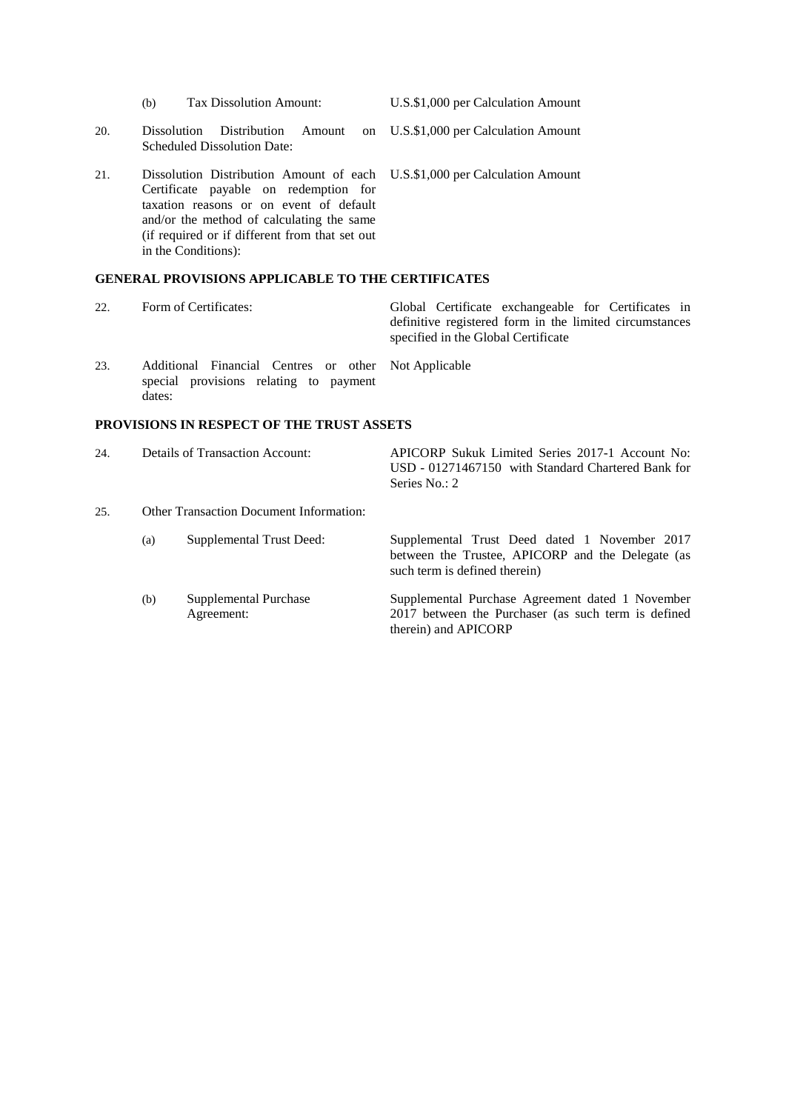- (b) Tax Dissolution Amount: U.S.\$1,000 per Calculation Amount
- 20. Dissolution Distribution Amount on Scheduled Dissolution Date:
- 21. Dissolution Distribution Amount of each Certificate payable on redemption for taxation reasons or on event of default in the Conditions):

- 22. Form of Certificates: Global Certificate exchangeable for Certificates in definitive registered form in the limited circumstances specified in the Global Certificate 23. Additional Financial Centres or other special provisions relating to payment dates: Not Applicable **PROVISIONS IN RESPECT OF THE TRUST ASSETS**
- Series No.: 2 25. Other Transaction Document Information: (a) Supplemental Trust Deed: Supplemental Trust Deed dated 1 November 2017 between the Trustee, APICORP and the Delegate (as such term is defined therein)
	- Agreement: 2017 between the Purchaser (as such term is defined therein) and APICORP

U.S.\$1,000 per Calculation Amount

U.S.\$1,000 per Calculation Amount

and/or the method of calculating the same (if required or if different from that set out **GENERAL PROVISIONS APPLICABLE TO THE CERTIFICATES** 24. Details of Transaction Account: APICORP Sukuk Limited Series 2017-1 Account No: USD - 01271467150 with Standard Chartered Bank for (b) Supplemental Purchase Supplemental Purchase Agreement dated 1 November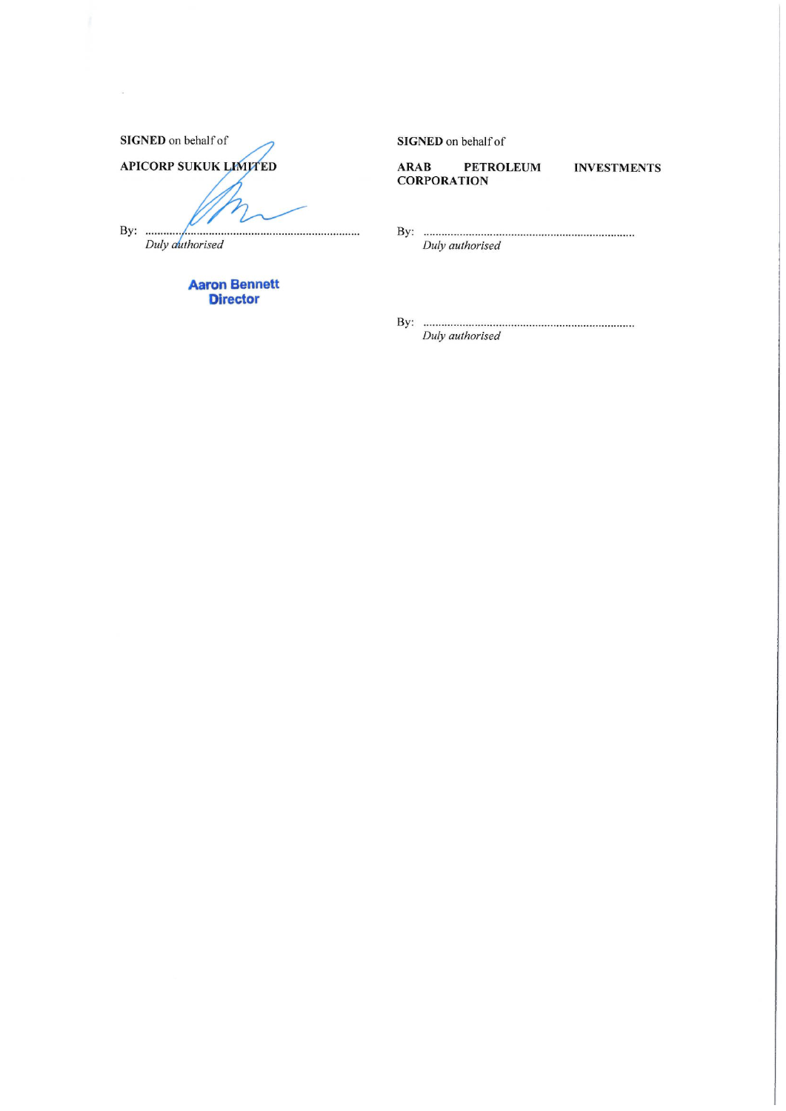| <b>SIGNED</b> on behalf of   |
|------------------------------|
| <b>APICORP SUKUK LIMITED</b> |
|                              |
|                              |
|                              |

Duly authorised

 $\alpha$ 

**Aaron Bennett Director** 

SIGNED on behalf of

**PETROLEUM ARAB CORPORATION** 

**INVESTMENTS** 

Duly authorised

Duly authorised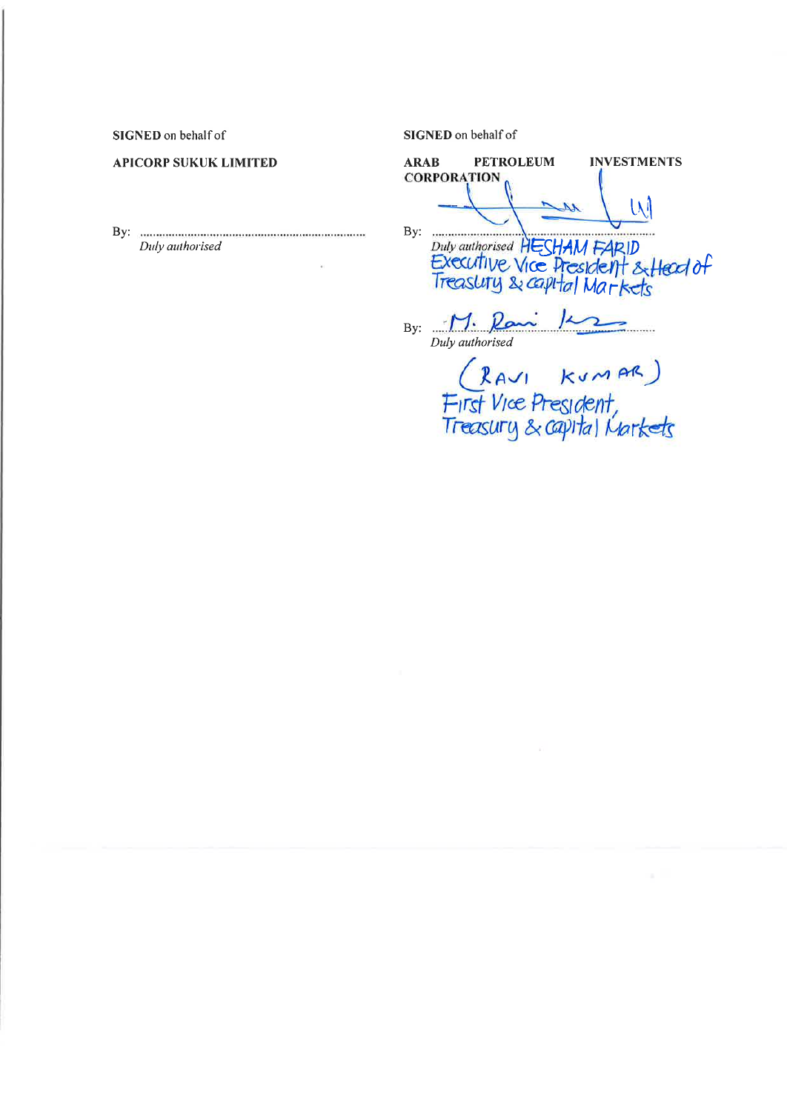SIGNED on behalf of

#### **APICORP SUKUK LIMITED**

By: **maximum** maximum maximum maximum Duly authorised

SIGNED on behalf of

**PETROLEUM ARAB INVESTMENTS CORPORATION** W  $\mathcal{M}_{-}$ 

Duly authorised HESHAM FARID<br>Executive Vice President & Head of<br>Treasluty & capital Markets

By:  $M. \rho$ Duly authorised

(RAVI KUMAR)<br>First Vice President,<br>Treasury & capital Markets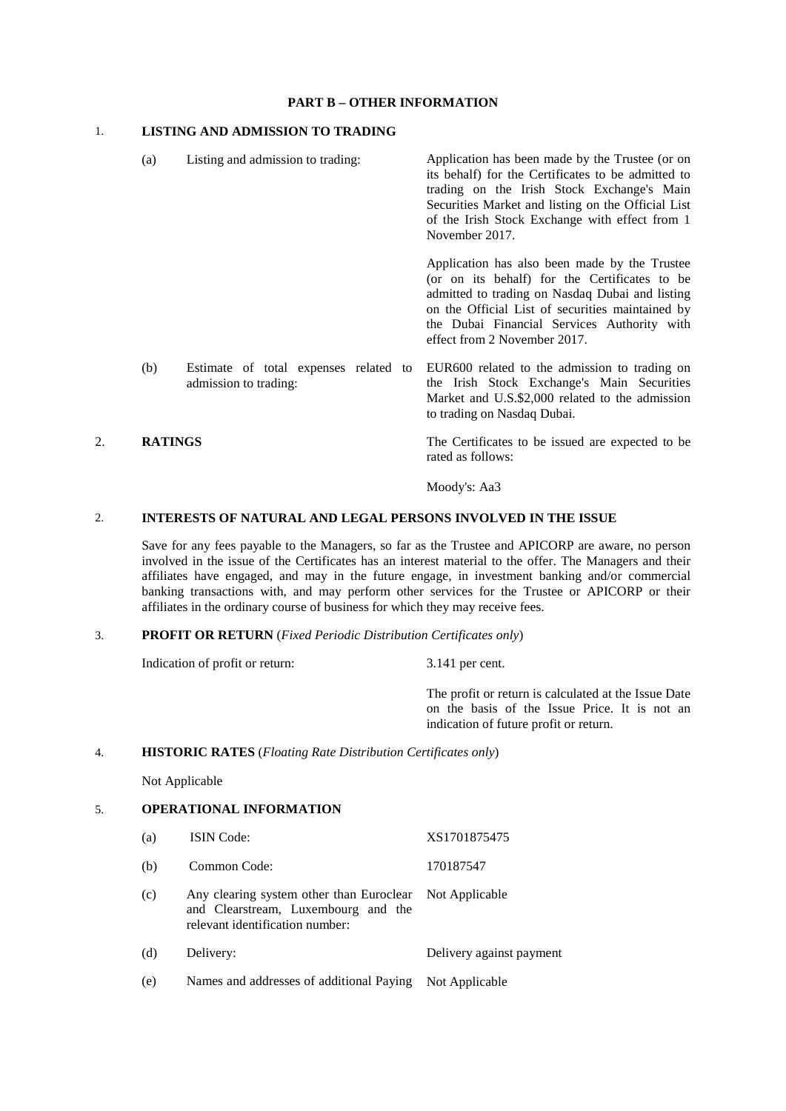#### **PART B – OTHER INFORMATION**

#### 1. **LISTING AND ADMISSION TO TRADING**

(a) Listing and admission to trading: Application has been made by the Trustee (or on its behalf) for the Certificates to be admitted to trading on the Irish Stock Exchange's Main Securities Market and listing on the Official List of the Irish Stock Exchange with effect from 1 November 2017. Application has also been made by the Trustee (or on its behalf) for the Certificates to be admitted to trading on Nasdaq Dubai and listing on the Official List of securities maintained by the Dubai Financial Services Authority with effect from 2 November 2017. (b) Estimate of total expenses related to admission to trading: EUR600 related to the admission to trading on the Irish Stock Exchange's Main Securities Market and U.S.\$2,000 related to the admission to trading on Nasdaq Dubai. 2. **RATINGS** The Certificates to be issued are expected to be

rated as follows:

Moody's: Aa3

#### 2. **INTERESTS OF NATURAL AND LEGAL PERSONS INVOLVED IN THE ISSUE**

Save for any fees payable to the Managers, so far as the Trustee and APICORP are aware, no person involved in the issue of the Certificates has an interest material to the offer. The Managers and their affiliates have engaged, and may in the future engage, in investment banking and/or commercial banking transactions with, and may perform other services for the Trustee or APICORP or their affiliates in the ordinary course of business for which they may receive fees.

#### 3. **PROFIT OR RETURN** (*Fixed Periodic Distribution Certificates only*)

Indication of profit or return: 3.141 per cent.

The profit or return is calculated at the Issue Date on the basis of the Issue Price. It is not an indication of future profit or return.

#### 4. **HISTORIC RATES** (*Floating Rate Distribution Certificates only*)

Not Applicable

### 5. **OPERATIONAL INFORMATION**

| (a) | <b>ISIN</b> Code:                                                                                                                 | XS1701875475             |
|-----|-----------------------------------------------------------------------------------------------------------------------------------|--------------------------|
| (b) | Common Code:                                                                                                                      | 170187547                |
| (c) | Any clearing system other than Euroclear Not Applicable<br>and Clearstream, Luxembourg and the<br>relevant identification number: |                          |
| (d) | Delivery:                                                                                                                         | Delivery against payment |
| (e) | Names and addresses of additional Paying                                                                                          | Not Applicable           |